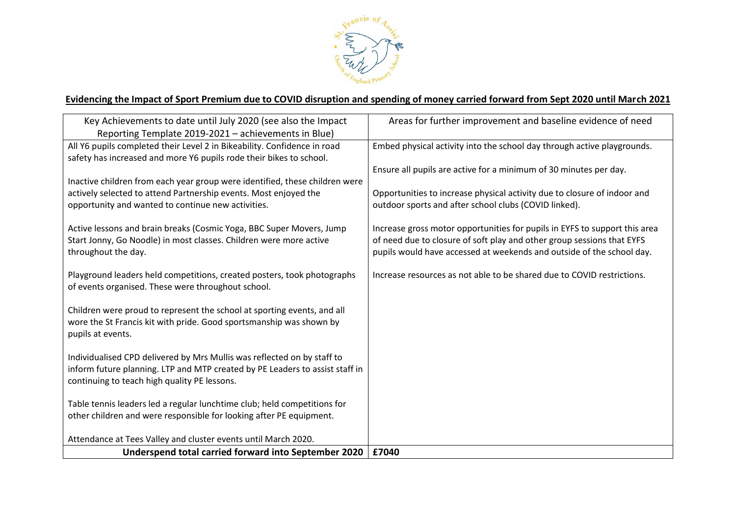

## **Evidencing the Impact of Sport Premium due to COVID disruption and spending of money carried forward from Sept 2020 until March 2021**

| Key Achievements to date until July 2020 (see also the Impact                | Areas for further improvement and baseline evidence of need                |
|------------------------------------------------------------------------------|----------------------------------------------------------------------------|
| Reporting Template 2019-2021 - achievements in Blue)                         |                                                                            |
| All Y6 pupils completed their Level 2 in Bikeability. Confidence in road     | Embed physical activity into the school day through active playgrounds.    |
| safety has increased and more Y6 pupils rode their bikes to school.          |                                                                            |
|                                                                              | Ensure all pupils are active for a minimum of 30 minutes per day.          |
| Inactive children from each year group were identified, these children were  |                                                                            |
| actively selected to attend Partnership events. Most enjoyed the             | Opportunities to increase physical activity due to closure of indoor and   |
| opportunity and wanted to continue new activities.                           | outdoor sports and after school clubs (COVID linked).                      |
| Active lessons and brain breaks (Cosmic Yoga, BBC Super Movers, Jump         | Increase gross motor opportunities for pupils in EYFS to support this area |
| Start Jonny, Go Noodle) in most classes. Children were more active           | of need due to closure of soft play and other group sessions that EYFS     |
| throughout the day.                                                          | pupils would have accessed at weekends and outside of the school day.      |
|                                                                              |                                                                            |
| Playground leaders held competitions, created posters, took photographs      | Increase resources as not able to be shared due to COVID restrictions.     |
| of events organised. These were throughout school.                           |                                                                            |
|                                                                              |                                                                            |
| Children were proud to represent the school at sporting events, and all      |                                                                            |
| wore the St Francis kit with pride. Good sportsmanship was shown by          |                                                                            |
| pupils at events.                                                            |                                                                            |
| Individualised CPD delivered by Mrs Mullis was reflected on by staff to      |                                                                            |
| inform future planning. LTP and MTP created by PE Leaders to assist staff in |                                                                            |
| continuing to teach high quality PE lessons.                                 |                                                                            |
|                                                                              |                                                                            |
| Table tennis leaders led a regular lunchtime club; held competitions for     |                                                                            |
| other children and were responsible for looking after PE equipment.          |                                                                            |
|                                                                              |                                                                            |
| Attendance at Tees Valley and cluster events until March 2020.               |                                                                            |
| Underspend total carried forward into September 2020                         | £7040                                                                      |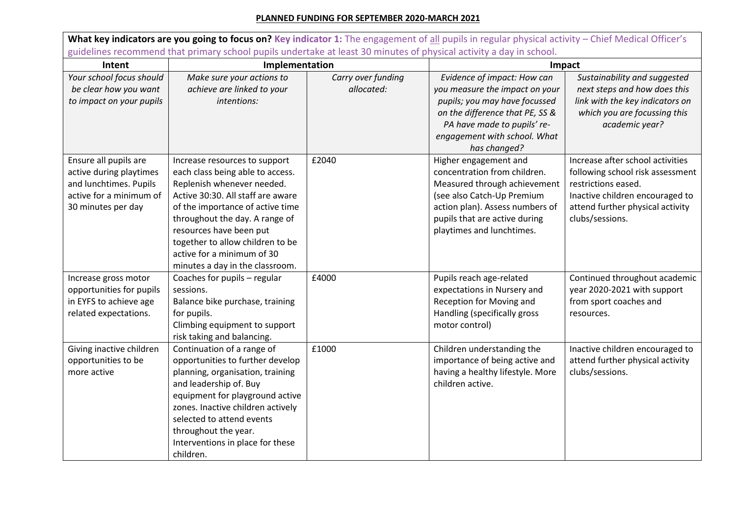## **PLANNED FUNDING FOR SEPTEMBER 2020-MARCH 2021**

What key indicators are you going to focus on? Key indicator 1: The engagement of all pupils in regular physical activity – Chief Medical Officer's guidelines recommend that primary school pupils undertake at least 30 minutes of physical activity a day in school. **Intent Implementation Impact** *Your school focus should be clear how you want to impact on your pupils Make sure your actions to achieve are linked to your intentions: Carry over funding allocated: Evidence of impact: How can you measure the impact on your pupils; you may have focussed on the difference that PE, SS & PA have made to pupils' reengagement with school. What has changed? Sustainability and suggested next steps and how does this link with the key indicators on which you are focussing this academic year?* Ensure all pupils are active during playtimes and lunchtimes. Pupils active for a minimum of 30 minutes per day Increase resources to support each class being able to access. Replenish whenever needed. Active 30:30. All staff are aware of the importance of active time throughout the day. A range of resources have been put together to allow children to be active for a minimum of 30 minutes a day in the classroom. £2040 Higher engagement and concentration from children. Measured through achievement (see also Catch-Up Premium action plan). Assess numbers of pupils that are active during playtimes and lunchtimes. Increase after school activities following school risk assessment restrictions eased. Inactive children encouraged to attend further physical activity clubs/sessions. Increase gross motor opportunities for pupils in EYFS to achieve age related expectations. Coaches for pupils – regular sessions. Balance bike purchase, training for pupils. Climbing equipment to support risk taking and balancing. £4000 Pupils reach age-related expectations in Nursery and Reception for Moving and Handling (specifically gross motor control) Continued throughout academic year 2020-2021 with support from sport coaches and resources. Giving inactive children opportunities to be more active Continuation of a range of opportunities to further develop planning, organisation, training and leadership of. Buy equipment for playground active zones. Inactive children actively selected to attend events throughout the year. Interventions in place for these children. £1000 Children understanding the importance of being active and having a healthy lifestyle. More children active. Inactive children encouraged to attend further physical activity clubs/sessions.